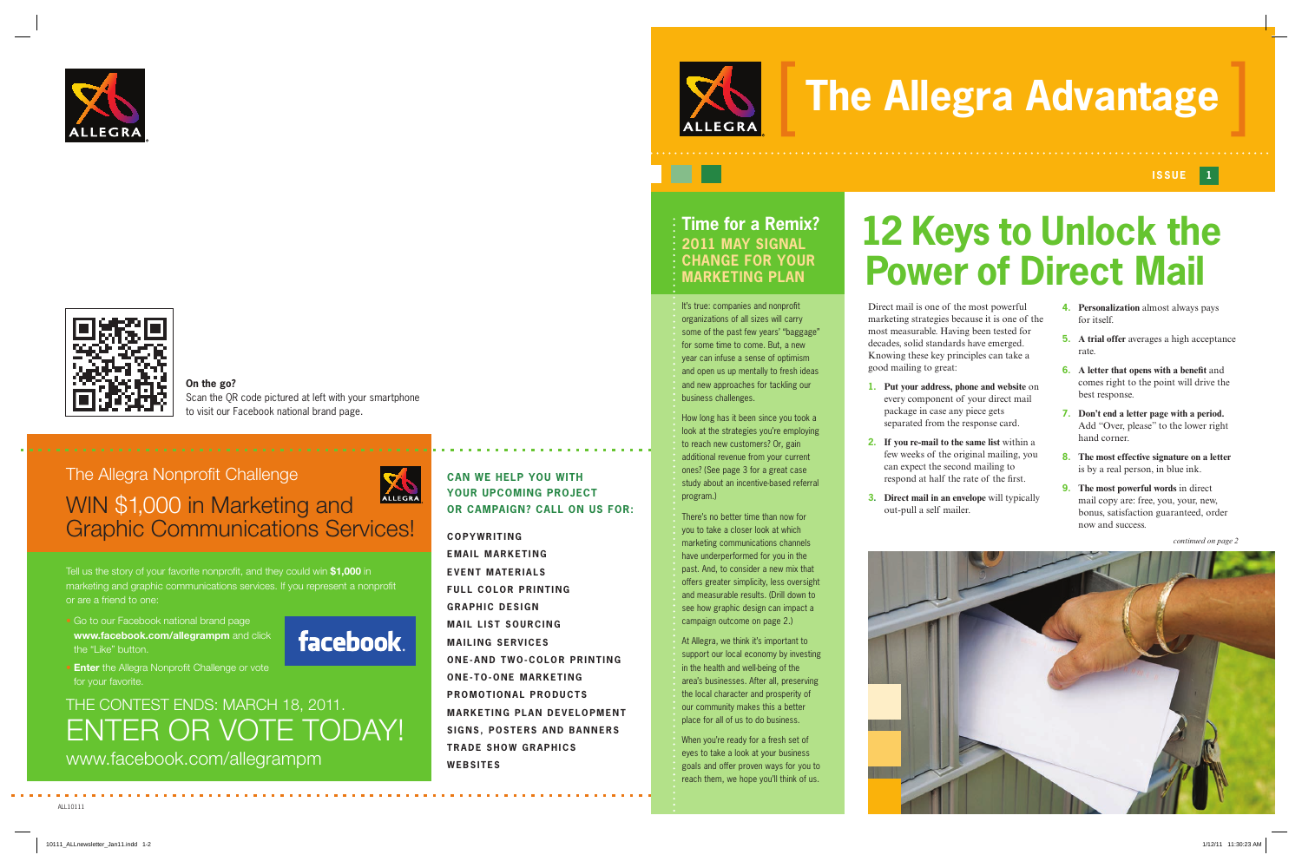Direct mail is one of the most powerful marketing strategies because it is one of the most measurable. Having been tested for decades, solid standards have emerged. Knowing these key principles can take a good mailing to great:

**1. Put your address, phone and website** on every component of your direct mail package in case any piece gets separated from the response card.

**2. If you re-mail to the same list** within a few weeks of the original mailing, you can expect the second mailing to respond at half the rate of the first.

**3. Direct mail in an envelope** will typically out-pull a self mailer.

ALL10111

**COPYWRITING**

**EMAIL MARKETING**

• Go to our Facebook national brand page **www.facebook.com/allegrampm** and click the "Like" button.



## **EVENT MATERIALS FULL COLOR PRINTING**

**• Enter** the Allegra Nonprofit Challenge or vote for your favorite.

**GRAPHIC DESIGN MAIL LIST SOURCING MAILING SERVICES ONE-AND TWO-COLOR PRINTING ONE-TO-ONE MARKETING PROMOTIONAL PRODUCTS MARKETING PLAN DEVELOPMENT SIGNS, POSTERS AND BANNERS TRADE SHOW GRAPHICS WEBSITES**

**CAN WE HELP YOU WITH YOUR UPCOMING PROJECT** 

**OR CAMPAIGN? CALL ON US FOR:**

# **The Allegra Advantage**

## **Issue 1**

# **12 Keys to Unlock the Power of Direct Mail**

Tell us the story of your favorite nonprofit, and they could win **\$1,000** in marketing and graphic communications services. If you represent a nonprofit or are a friend to one:

It's true: companies and nonprofit organizations of all sizes will carry some of the past few years' "baggage" for some time to come. But, a new year can infuse a sense of optimism and open us up mentally to fresh ideas and new approaches for tackling our business challenges.

## THE CONTEST ENDS: MARCH 18, 2011. ENTER OR VOTE TODAY! www.facebook.com/allegrampm

## The Allegra Nonprofit Challenge ALLEGRA WIN \$1,000 in Marketing and Graphic Communications Services!

- **4. Personalization** almost always pays for itself.
- **5. A trial offer** averages a high acceptance rate.
- **6. A letter that opens with a benefit** and comes right to the point will drive the best response.
- **7. Don't end a letter page with a period.** Add "Over, please" to the lower right hand corner.
- **8. The most effective signature on a letter** is by a real person, in blue ink.
- **9. The most powerful words** in direct mail copy are: free, you, your, new, bonus, satisfaction guaranteed, order now and success.

*continued on page 2*

**On the go?** Scan the QR code pictured at left with your smartphone to visit our Facebook national brand page.







## **Time for a Remix? 2011 May Signal Change For Your Marketing Plan**

How long has it been since you took a look at the strategies you're employing to reach new customers? Or, gain additional revenue from your current ones? (See page 3 for a great case study about an incentive-based referral program.)

There's no better time than now for you to take a closer look at which marketing communications channels have underperformed for you in the past. And, to consider a new mix that offers greater simplicity, less oversight and measurable results. (Drill down to see how graphic design can impact a campaign outcome on page 2.)

At Allegra, we think it's important to support our local economy by investing in the health and well-being of the area's businesses. After all, preserving the local character and prosperity of our community makes this a better place for all of us to do business.

When you're ready for a fresh set of eyes to take a look at your business goals and offer proven ways for you to reach them, we hope you'll think of us.